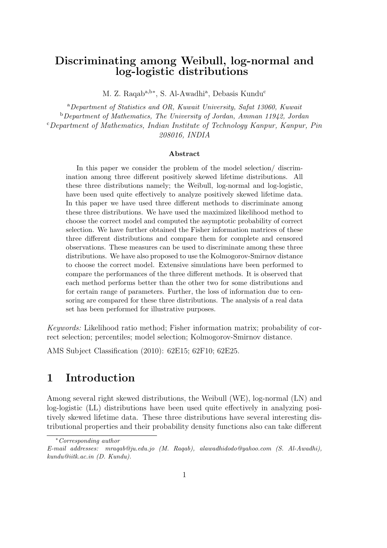## Discriminating among Weibull, log-normal and log-logistic distributions

M. Z. Raqab<sup>a,b∗</sup>, S. Al-Awadhi<sup>a</sup>, Debasis Kundu<sup>c</sup>

<sup>a</sup>*Department of Statistics and OR, Kuwait University, Safat 13060, Kuwait* <sup>b</sup>*Department of Mathematics, The University of Jordan, Amman 11942, Jordan* <sup>c</sup>*Department of Mathematics, Indian Institute of Technology Kanpur, Kanpur, Pin 208016, INDIA*

#### Abstract

In this paper we consider the problem of the model selection/ discrimination among three different positively skewed lifetime distributions. All these three distributions namely; the Weibull, log-normal and log-logistic, have been used quite effectively to analyze positively skewed lifetime data. In this paper we have used three different methods to discriminate among these three distributions. We have used the maximized likelihood method to choose the correct model and computed the asymptotic probability of correct selection. We have further obtained the Fisher information matrices of these three different distributions and compare them for complete and censored observations. These measures can be used to discriminate among these three distributions. We have also proposed to use the Kolmogorov-Smirnov distance to choose the correct model. Extensive simulations have been performed to compare the performances of the three different methods. It is observed that each method performs better than the other two for some distributions and for certain range of parameters. Further, the loss of information due to censoring are compared for these three distributions. The analysis of a real data set has been performed for illustrative purposes.

*Keywords:* Likelihood ratio method; Fisher information matrix; probability of correct selection; percentiles; model selection; Kolmogorov-Smirnov distance.

AMS Subject Classification (2010): 62E15; 62F10; 62E25.

## 1 Introduction

Among several right skewed distributions, the Weibull (WE), log-normal (LN) and log-logistic (LL) distributions have been used quite effectively in analyzing positively skewed lifetime data. These three distributions have several interesting distributional properties and their probability density functions also can take different

<sup>∗</sup>*Corresponding author*

*E-mail addresses: mraqab@ju.edu.jo (M. Raqab), alawadhidodo@yahoo.com (S. Al-Awadhi), kundu@iitk.ac.in (D. Kundu).*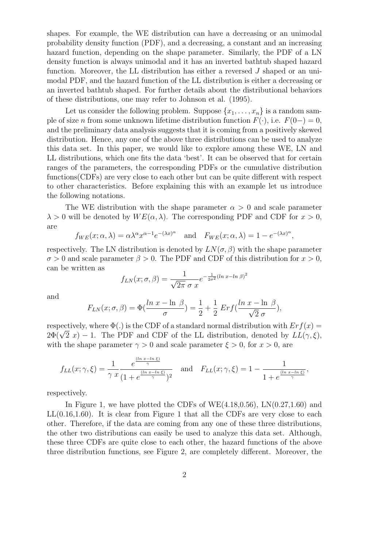shapes. For example, the WE distribution can have a decreasing or an unimodal probability density function (PDF), and a decreasing, a constant and an increasing hazard function, depending on the shape parameter. Similarly, the PDF of a LN density function is always unimodal and it has an inverted bathtub shaped hazard function. Moreover, the LL distribution has either a reversed J shaped or an unimodal PDF, and the hazard function of the LL distribution is either a decreasing or an inverted bathtub shaped. For further details about the distributional behaviors of these distributions, one may refer to Johnson et al. (1995).

Let us consider the following problem. Suppose  $\{x_1, \ldots, x_n\}$  is a random sample of size *n* from some unknown lifetime distribution function  $F(\cdot)$ , i.e.  $F(0-) = 0$ , and the preliminary data analysis suggests that it is coming from a positively skewed distribution. Hence, any one of the above three distributions can be used to analyze this data set. In this paper, we would like to explore among these WE, LN and LL distributions, which one fits the data 'best'. It can be observed that for certain ranges of the parameters, the corresponding PDFs or the cumulative distribution functions(CDFs) are very close to each other but can be quite different with respect to other characteristics. Before explaining this with an example let us introduce the following notations.

The WE distribution with the shape parameter  $\alpha > 0$  and scale parameter  $\lambda > 0$  will be denoted by  $WE(\alpha, \lambda)$ . The corresponding PDF and CDF for  $x > 0$ , are

$$
f_{WE}(x; \alpha, \lambda) = \alpha \lambda^{\alpha} x^{\alpha - 1} e^{-(\lambda x)^{\alpha}}
$$
 and  $F_{WE}(x; \alpha, \lambda) = 1 - e^{-(\lambda x)^{\alpha}}$ ,

respectively. The LN distribution is denoted by  $LN(\sigma, \beta)$  with the shape parameter  $\sigma > 0$  and scale parameter  $\beta > 0$ . The PDF and CDF of this distribution for  $x > 0$ , can be written as

$$
f_{LN}(x; \sigma, \beta) = \frac{1}{\sqrt{2\pi} \sigma x} e^{-\frac{1}{2\sigma^2} (\ln x - \ln \beta)^2}
$$

and

$$
F_{LN}(x;\sigma,\beta) = \Phi(\frac{\ln x - \ln \beta}{\sigma}) = \frac{1}{2} + \frac{1}{2} Erf(\frac{\ln x - \ln \beta}{\sqrt{2} \sigma}),
$$

respectively, where  $\Phi(.)$  is the CDF of a standard normal distribution with  $Erf(x)$  =  $2\Phi(\sqrt{2} x) - 1$ . The PDF and CDF of the LL distribution, denoted by  $LL(\gamma, \xi)$ , with the shape parameter  $\gamma > 0$  and scale parameter  $\xi > 0$ , for  $x > 0$ , are

$$
f_{LL}(x; \gamma, \xi) = \frac{1}{\gamma x} \frac{e^{\frac{(\ln x - \ln \xi)}{\gamma}}}{(1 + e^{\frac{(\ln x - \ln \xi)}{\gamma}})^2} \quad \text{and} \quad F_{LL}(x; \gamma, \xi) = 1 - \frac{1}{1 + e^{\frac{(\ln x - \ln \xi)}{\gamma}}},
$$

respectively.

In Figure 1, we have plotted the CDFs of WE $(4.18,0.56)$ , LN $(0.27,1.60)$  and LL(0.16,1.60). It is clear from Figure 1 that all the CDFs are very close to each other. Therefore, if the data are coming from any one of these three distributions, the other two distributions can easily be used to analyze this data set. Although, these three CDFs are quite close to each other, the hazard functions of the above three distribution functions, see Figure 2, are completely different. Moreover, the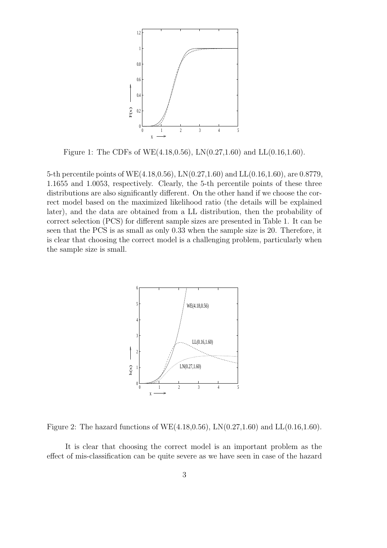

Figure 1: The CDFs of WE(4.18,0.56), LN(0.27,1.60) and LL(0.16,1.60).

5-th percentile points of WE(4.18,0.56), LN(0.27,1.60) and LL(0.16,1.60), are 0.8779, 1.1655 and 1.0053, respectively. Clearly, the 5-th percentile points of these three distributions are also significantly different. On the other hand if we choose the correct model based on the maximized likelihood ratio (the details will be explained later), and the data are obtained from a LL distribution, then the probability of correct selection (PCS) for different sample sizes are presented in Table 1. It can be seen that the PCS is as small as only 0.33 when the sample size is 20. Therefore, it is clear that choosing the correct model is a challenging problem, particularly when the sample size is small.



Figure 2: The hazard functions of WE(4.18,0.56), LN(0.27,1.60) and LL(0.16,1.60).

It is clear that choosing the correct model is an important problem as the effect of mis-classification can be quite severe as we have seen in case of the hazard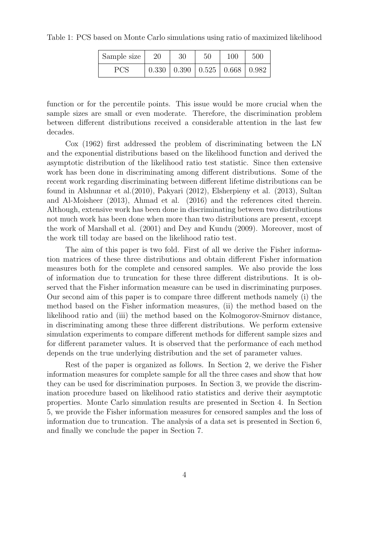Table 1: PCS based on Monte Carlo simulations using ratio of maximized likelihood

| Sample size | 20 | 30 | $50\,$ | 100                                                 | 500 |
|-------------|----|----|--------|-----------------------------------------------------|-----|
| <b>PCS</b>  |    |    |        | $0.330 \mid 0.390 \mid 0.525 \mid 0.668 \mid 0.982$ |     |

function or for the percentile points. This issue would be more crucial when the sample sizes are small or even moderate. Therefore, the discrimination problem between different distributions received a considerable attention in the last few decades.

Cox (1962) first addressed the problem of discriminating between the LN and the exponential distributions based on the likelihood function and derived the asymptotic distribution of the likelihood ratio test statistic. Since then extensive work has been done in discriminating among different distributions. Some of the recent work regarding discriminating between different lifetime distributions can be found in Alshunnar et al.(2010), Pakyari (2012), Elsherpieny et al. (2013), Sultan and Al-Moisheer (2013), Ahmad et al. (2016) and the references cited therein. Although, extensive work has been done in discriminating between two distributions not much work has been done when more than two distributions are present, except the work of Marshall et al. (2001) and Dey and Kundu (2009). Moreover, most of the work till today are based on the likelihood ratio test.

The aim of this paper is two fold. First of all we derive the Fisher information matrices of these three distributions and obtain different Fisher information measures both for the complete and censored samples. We also provide the loss of information due to truncation for these three different distributions. It is observed that the Fisher information measure can be used in discriminating purposes. Our second aim of this paper is to compare three different methods namely (i) the method based on the Fisher information measures, (ii) the method based on the likelihood ratio and (iii) the method based on the Kolmogorov-Smirnov distance, in discriminating among these three different distributions. We perform extensive simulation experiments to compare different methods for different sample sizes and for different parameter values. It is observed that the performance of each method depends on the true underlying distribution and the set of parameter values.

Rest of the paper is organized as follows. In Section 2, we derive the Fisher information measures for complete sample for all the three cases and show that how they can be used for discrimination purposes. In Section 3, we provide the discrimination procedure based on likelihood ratio statistics and derive their asymptotic properties. Monte Carlo simulation results are presented in Section 4. In Section 5, we provide the Fisher information measures for censored samples and the loss of information due to truncation. The analysis of a data set is presented in Section 6, and finally we conclude the paper in Section 7.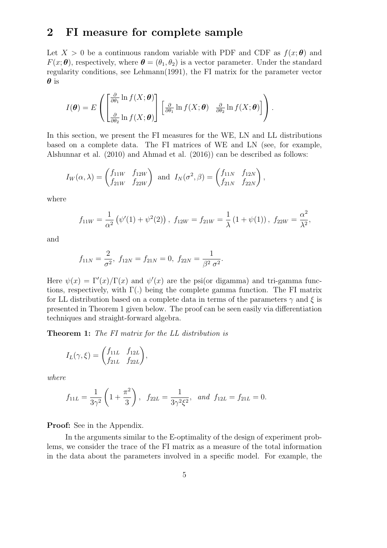### 2 FI measure for complete sample

Let  $X > 0$  be a continuous random variable with PDF and CDF as  $f(x; \theta)$  and  $F(x; \theta)$ , respectively, where  $\theta = (\theta_1, \theta_2)$  is a vector parameter. Under the standard regularity conditions, see Lehmann(1991), the FI matrix for the parameter vector  $\boldsymbol{\theta}$  is

$$
I(\boldsymbol{\theta}) = E\left(\begin{bmatrix} \frac{\partial}{\partial \theta_1} \ln f(X; \boldsymbol{\theta}) \\ \frac{\partial}{\partial \theta_2} \ln f(X; \boldsymbol{\theta}) \end{bmatrix} \begin{bmatrix} \frac{\partial}{\partial \theta_1} \ln f(X; \boldsymbol{\theta}) & \frac{\partial}{\partial \theta_2} \ln f(X; \boldsymbol{\theta}) \end{bmatrix}\right).
$$

In this section, we present the FI measures for the WE, LN and LL distributions based on a complete data. The FI matrices of WE and LN (see, for example, Alshunnar et al. (2010) and Ahmad et al. (2016)) can be described as follows:

$$
I_W(\alpha, \lambda) = \begin{pmatrix} f_{11W} & f_{12W} \\ f_{21W} & f_{22W} \end{pmatrix}
$$
 and  $I_N(\sigma^2, \beta) = \begin{pmatrix} f_{11N} & f_{12N} \\ f_{21N} & f_{22N} \end{pmatrix}$ ,

where

$$
f_{11W} = \frac{1}{\alpha^2} (\psi'(1) + \psi^2(2)),
$$
  $f_{12W} = f_{21W} = \frac{1}{\lambda} (1 + \psi(1)),$   $f_{22W} = \frac{\alpha^2}{\lambda^2},$ 

and

$$
f_{11N} = \frac{2}{\sigma^2}
$$
,  $f_{12N} = f_{21N} = 0$ ,  $f_{22N} = \frac{1}{\beta^2 \sigma^2}$ .

Here  $\psi(x) = \Gamma'(x)/\Gamma(x)$  and  $\psi'(x)$  are the psi(or digamma) and tri-gamma functions, respectively, with  $\Gamma(.)$  being the complete gamma function. The FI matrix for LL distribution based on a complete data in terms of the parameters  $\gamma$  and  $\xi$  is presented in Theorem 1 given below. The proof can be seen easily via differentiation techniques and straight-forward algebra.

Theorem 1: *The FI matrix for the LL distribution is*

$$
I_L(\gamma, \xi) = \begin{pmatrix} f_{11L} & f_{12L} \\ f_{21L} & f_{22L} \end{pmatrix},
$$

*where*

$$
f_{11L} = \frac{1}{3\gamma^2} \left( 1 + \frac{\pi^2}{3} \right)
$$
,  $f_{22L} = \frac{1}{3\gamma^2 \xi^2}$ , and  $f_{12L} = f_{21L} = 0$ .

Proof: See in the Appendix.

In the arguments similar to the E-optimality of the design of experiment problems, we consider the trace of the FI matrix as a measure of the total information in the data about the parameters involved in a specific model. For example, the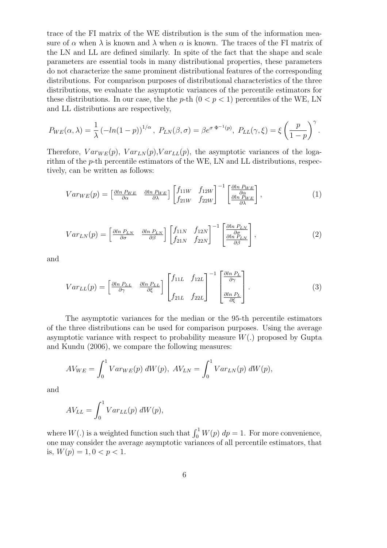trace of the FI matrix of the WE distribution is the sum of the information measure of  $\alpha$  when  $\lambda$  is known and  $\lambda$  when  $\alpha$  is known. The traces of the FI matrix of the LN and LL are defined similarly. In spite of the fact that the shape and scale parameters are essential tools in many distributional properties, these parameters do not characterize the same prominent distributional features of the corresponding distributions. For comparison purposes of distributional characteristics of the three distributions, we evaluate the asymptotic variances of the percentile estimators for these distributions. In our case, the the p-th  $(0 < p < 1)$  percentiles of the WE, LN and LL distributions are respectively,

$$
P_{WE}(\alpha,\lambda) = \frac{1}{\lambda} \left( -\ln(1-p) \right)^{1/\alpha}, \ P_{LN}(\beta,\sigma) = \beta e^{\sigma \Phi^{-1}(p)}, \ P_{LL}(\gamma,\xi) = \xi \left( \frac{p}{1-p} \right)^{\gamma}.
$$

Therefore,  $Var_{WE}(p)$ ,  $Var_{LN}(p)$ ,  $Var_{LL}(p)$ , the asymptotic variances of the logarithm of the p-th percentile estimators of the WE, LN and LL distributions, respectively, can be written as follows:

$$
Var_{WE}(p) = \begin{bmatrix} \frac{\partial \ln P_{WE}}{\partial \alpha} & \frac{\partial \ln P_{WE}}{\partial \lambda} \end{bmatrix} \begin{bmatrix} f_{11W} & f_{12W} \\ f_{21W} & f_{22W} \end{bmatrix}^{-1} \begin{bmatrix} \frac{\partial \ln P_{WE}}{\partial \alpha} \\ \frac{\partial \ln P_{WE}}{\partial \lambda} \end{bmatrix},\tag{1}
$$

$$
Var_{LN}(p) = \begin{bmatrix} \frac{\partial \ln P_{LN}}{\partial \sigma} & \frac{\partial \ln P_{LN}}{\partial \beta} \end{bmatrix} \begin{bmatrix} f_{11N} & f_{12N} \\ f_{21N} & f_{22N} \end{bmatrix}^{-1} \begin{bmatrix} \frac{\partial \ln P_{LN}}{\partial \sigma} \\ \frac{\partial \ln P_{LN}}{\partial \beta} \end{bmatrix},\tag{2}
$$

and

$$
Var_{LL}(p) = \begin{bmatrix} \frac{\partial \ln P_{LL}}{\partial \gamma} & \frac{\partial \ln P_{LL}}{\partial \xi} \end{bmatrix} \begin{bmatrix} f_{11L} & f_{12L} \\ f_{21L} & f_{22L} \end{bmatrix}^{-1} \begin{bmatrix} \frac{\partial \ln P_{L}}{\partial \gamma} \\ \frac{\partial \ln P_{L}}{\partial \xi} \end{bmatrix} . \tag{3}
$$

The asymptotic variances for the median or the 95-th percentile estimators of the three distributions can be used for comparison purposes. Using the average asymptotic variance with respect to probability measure  $W(.)$  proposed by Gupta and Kundu (2006), we compare the following measures:

$$
AV_{WE} = \int_0^1 Var_{WE}(p) \, dW(p), \, AV_{LN} = \int_0^1 Var_{LN}(p) \, dW(p),
$$

and

$$
AV_{LL} = \int_0^1 Var_{LL}(p) \, dW(p),
$$

where  $W(.)$  is a weighted function such that  $\int_0^1 W(p) dp = 1$ . For more convenience, one may consider the average asymptotic variances of all percentile estimators, that is,  $W(p) = 1, 0 < p < 1$ .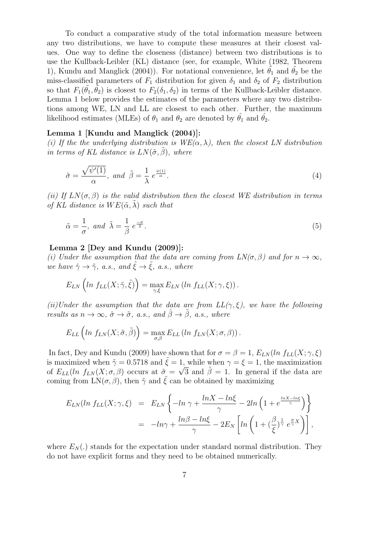To conduct a comparative study of the total information measure between any two distributions, we have to compute these measures at their closest values. One way to define the closeness (distance) between two distributions is to use the Kullback-Leibler (KL) distance (see, for example, White (1982, Theorem 1), Kundu and Manglick (2004)). For notational convenience, let  $\theta_1$  and  $\theta_2$  be the miss-classified parameters of  $F_1$  distribution for given  $\delta_1$  and  $\delta_2$  of  $F_2$  distribution so that  $F_1(\tilde{\theta}_1, \tilde{\theta}_2)$  is closest to  $F_2(\delta_1, \delta_2)$  in terms of the Kullback-Leibler distance. Lemma 1 below provides the estimates of the parameters where any two distributions among WE, LN and LL are closest to each other. Further, the maximum likelihood estimates (MLEs) of  $\theta_1$  and  $\theta_2$  are denoted by  $\hat{\theta_1}$  and  $\hat{\theta_2}$ .

### Lemma 1 [Kundu and Manglick (2004)]:

*(i) If the the underlying distribution is WE(*α, λ*), then the closest LN distribution in terms of KL distance is*  $LN(\tilde{\sigma}, \beta)$ *, where* 

$$
\tilde{\sigma} = \frac{\sqrt{\psi'(1)}}{\alpha}, \text{ and } \tilde{\beta} = \frac{1}{\lambda} e^{\frac{\psi(1)}{\alpha}}.
$$
 (4)

*(ii)* If  $LN(\sigma, \beta)$  *is the valid distribution then the closest WE distribution in terms of KL distance is*  $WE(\tilde{\alpha}, \lambda)$  *such that* 

$$
\tilde{\alpha} = \frac{1}{\sigma}, \text{ and } \tilde{\lambda} = \frac{1}{\beta} e^{\frac{-\sigma}{2}}.
$$
\n
$$
(5)
$$

### Lemma 2 [Dey and Kundu (2009)]:

*(i) Under the assumption that the data are coming from*  $LN(\sigma, \beta)$  *and for*  $n \to \infty$ *, we have*  $\hat{\gamma} \rightarrow \tilde{\gamma}$ *, a.s., and*  $\hat{\xi} \rightarrow \tilde{\xi}$ *, a.s., where* 

$$
E_{LN}\left(ln\ f_{LL}(X;\tilde{\gamma},\tilde{\xi})\right)=\max_{\gamma,\xi}E_{LN}\left(ln\ f_{LL}(X;\gamma,\xi)\right).
$$

*(ii)Under the assumption that the data are from*  $LL(\gamma, \xi)$ *, we have the following results as*  $n \to \infty$ *,*  $\hat{\sigma} \to \tilde{\sigma}$ *, a.s., and*  $\hat{\beta} \to \tilde{\beta}$ *, a.s., where* 

$$
E_{LL}\left(ln\ f_{LN}(X;\tilde{\sigma},\tilde{\beta})\right)=\max_{\sigma,\beta}E_{LL}\left(ln\ f_{LN}(X;\sigma,\beta)\right).
$$

In fact, Dey and Kundu (2009) have shown that for  $\sigma = \beta = 1$ ,  $E_{LN}(ln f_{LL}(X; \gamma, \xi))$ is maximized when  $\tilde{\gamma} = 0.5718$  and  $\tilde{\xi} = 1$ , while when  $\gamma = \xi = 1$ , the maximization of  $E_{LL}(ln f_{LN}(X;\sigma,\beta))$  occurs at  $\tilde{\sigma} = \sqrt{3}$  and  $\tilde{\beta} = 1$ . In general if the data are coming from  $LN(\sigma, \beta)$ , then  $\tilde{\gamma}$  and  $\tilde{\xi}$  can be obtained by maximizing

$$
E_{LN}(ln f_{LL}(X; \gamma, \xi) = E_{LN} \left\{ -ln \gamma + \frac{ln X - ln \xi}{\gamma} - 2ln \left( 1 + e^{\frac{ln X - ln \xi}{\gamma}} \right) \right\}
$$
  
= 
$$
-ln \gamma + \frac{ln \beta - ln \xi}{\gamma} - 2E_N \left[ ln \left( 1 + \left( \frac{\beta}{\xi} \right)^{\frac{1}{\gamma}} e^{\frac{\sigma}{\gamma} X} \right) \right],
$$

where  $E_N(.)$  stands for the expectation under standard normal distribution. They do not have explicit forms and they need to be obtained numerically.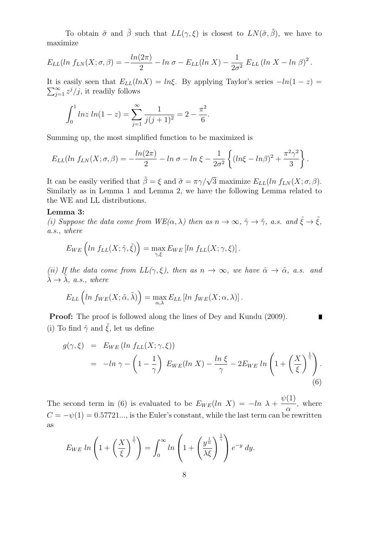To obtain  $\tilde{\sigma}$  and  $\tilde{\beta}$  such that  $LL(\gamma, \xi)$  is closest to  $LN(\tilde{\sigma}, \tilde{\beta})$ , we have to maximize

$$
E_{LL}(ln f_{LN}(X;\sigma,\beta)) = -\frac{ln(2\pi)}{2} - ln \sigma - E_{LL}(ln X) - \frac{1}{2\sigma^2} E_{LL} (ln X - ln \beta)^2.
$$

 $\sum_{j=1}^{\infty} z^j/j$ , it readily follows It is easily seen that  $E_{LL}(lnX) = ln\xi$ . By applying Taylor's series  $-ln(1-z)$  =

$$
\int_0^1 \ln z \ln(1-z) = \sum_{j=1}^\infty \frac{1}{j(j+1)^2} = 2 - \frac{\pi^2}{6}.
$$

Summing up, the most simplified function to be maximized is

$$
E_{LL}(ln f_{LN}(X; \sigma, \beta)) = -\frac{ln(2\pi)}{2} - ln \sigma - ln \xi - \frac{1}{2\sigma^2} \left\{ (ln\xi - ln\beta)^2 + \frac{\pi^2\gamma^2}{3} \right\}.
$$

It can be easily verified that  $\tilde{\beta} = \xi$  and  $\tilde{\sigma} = \pi \gamma / \sqrt{3}$  maximize  $E_{LL}(ln f_{LN}(X; \sigma, \beta)).$ Similarly as in Lemma 1 and Lemma 2, we have the following Lemma related to the WE and LL distributions.

#### Lemma 3:

*(i) Suppose the data come from*  $WE(\alpha, \lambda)$  *then as*  $n \to \infty$ ,  $\hat{\gamma} \to \tilde{\gamma}$ *, a.s. and*  $\hat{\xi} \to \tilde{\xi}$ *, a.s., where*

$$
E_{WE}\left(ln\ f_{LL}(X;\tilde{\gamma},\tilde{\xi})\right) = \max_{\gamma,\xi} E_{WE}\left[ ln\ f_{LL}(X;\gamma,\xi)\right].
$$

*(ii) If the data come from*  $LL(\gamma, \xi)$ *, then as*  $n \to \infty$ *, we have*  $\hat{\alpha} \to \tilde{\alpha}$ *, a.s. and*  $\tilde{\lambda} \rightarrow \tilde{\lambda}$ *, a.s., where* 

$$
E_{LL}\left(ln\ f_{WE}(X;\tilde{\alpha},\tilde{\lambda})\right) = \max_{\alpha,\lambda} E_{LL}\left[ ln\ f_{WE}(X;\alpha,\lambda)\right].
$$

**Proof:** The proof is followed along the lines of Dey and Kundu (2009).  $\blacksquare$ (i) To find  $\tilde{\gamma}$  and  $\tilde{\xi}$ , let us define

$$
g(\gamma, \xi) = E_{WE} (ln f_{LL}(X; \gamma, \xi))
$$
  
=  $-ln \gamma - \left(1 - \frac{1}{\gamma}\right) E_{WE} (ln X) - \frac{ln \xi}{\gamma} - 2E_{WE} ln \left(1 + \left(\frac{X}{\xi}\right)^{\frac{1}{\gamma}}\right).$  (6)

The second term in (6) is evaluated to be  $E_{WE}(ln X) = -ln \lambda +$  $\psi(1)$  $\alpha$ , where  $C = -\psi(1) = 0.57721...$ , is the Euler's constant, while the last term can be rewritten as

$$
E_{WE} \ln \left( 1 + \left( \frac{X}{\xi} \right)^{\frac{1}{\gamma}} \right) = \int_0^\infty \ln \left( 1 + \left( \frac{y^{\frac{1}{\alpha}}}{\lambda \xi} \right)^{\frac{1}{\gamma}} \right) e^{-y} dy.
$$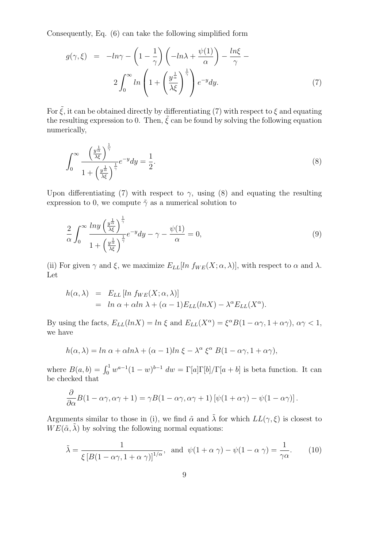Consequently, Eq. (6) can take the following simplified form

$$
g(\gamma, \xi) = -\ln \gamma - \left(1 - \frac{1}{\gamma}\right) \left(-\ln \lambda + \frac{\psi(1)}{\alpha}\right) - \frac{\ln \xi}{\gamma} - 2 \int_0^\infty \ln \left(1 + \left(\frac{y^{\frac{1}{\alpha}}}{\lambda \xi}\right)^{\frac{1}{\gamma}}\right) e^{-y} dy.
$$
 (7)

For  $\tilde{\xi}$ , it can be obtained directly by differentiating (7) with respect to  $\xi$  and equating the resulting expression to 0. Then,  $\tilde{\xi}$  can be found by solving the following equation numerically,

$$
\int_0^\infty \frac{\left(\frac{y^{\frac{1}{\alpha}}}{\lambda \xi}\right)^{\frac{1}{\gamma}}}{1 + \left(\frac{y^{\frac{1}{\alpha}}}{\lambda \xi}\right)^{\frac{1}{\gamma}}} e^{-y} dy = \frac{1}{2}.\tag{8}
$$

Upon differentiating (7) with respect to  $\gamma$ , using (8) and equating the resulting expression to 0, we compute  $\tilde{\gamma}$  as a numerical solution to

$$
\frac{2}{\alpha} \int_0^\infty \frac{\ln y \left(\frac{y^{\frac{1}{\alpha}}}{\lambda \xi}\right)^{\frac{1}{\gamma}}}{1 + \left(\frac{y^{\frac{1}{\alpha}}}{\lambda \xi}\right)^{\frac{1}{\gamma}}} e^{-y} dy - \gamma - \frac{\psi(1)}{\alpha} = 0,
$$
\n(9)

(ii) For given  $\gamma$  and  $\xi$ , we maximize  $E_{LL}[ln f_{WE}(X; \alpha, \lambda)],$  with respect to  $\alpha$  and  $\lambda$ . Let

$$
h(\alpha, \lambda) = E_{LL} [ln f_{WE}(X; \alpha, \lambda)]
$$
  
= ln  $\alpha$  +  $\alpha$ ln  $\lambda$  + ( $\alpha$  – 1) $E_{LL}(lnX)$  –  $\lambda^{\alpha} E_{LL}(X^{\alpha})$ .

By using the facts,  $E_{LL}(lnX) = ln \xi$  and  $E_{LL}(X^{\alpha}) = \xi^{\alpha}B(1 - \alpha\gamma, 1 + \alpha\gamma), \alpha\gamma < 1$ , we have

$$
h(\alpha,\lambda) = \ln \alpha + \alpha \ln \lambda + (\alpha - 1)\ln \xi - \lambda^{\alpha} \xi^{\alpha} B(1 - \alpha \gamma, 1 + \alpha \gamma),
$$

where  $B(a, b) = \int_0^1 w^{a-1} (1-w)^{b-1} dw = \Gamma[a] \Gamma[b] / \Gamma[a+b]$  is beta function. It can be checked that

$$
\frac{\partial}{\partial \alpha}B(1-\alpha\gamma,\alpha\gamma+1)=\gamma B(1-\alpha\gamma,\alpha\gamma+1)\left[\psi(1+\alpha\gamma)-\psi(1-\alpha\gamma)\right].
$$

Arguments similar to those in (i), we find  $\tilde{\alpha}$  and  $\tilde{\lambda}$  for which  $LL(\gamma, \xi)$  is closest to  $WE(\tilde{\alpha}, \tilde{\lambda})$  by solving the following normal equations:

$$
\tilde{\lambda} = \frac{1}{\xi \left[ B(1 - \alpha \gamma, 1 + \alpha \gamma) \right]^{1/\alpha}}, \text{ and } \psi(1 + \alpha \gamma) - \psi(1 - \alpha \gamma) = \frac{1}{\gamma \alpha}.
$$
 (10)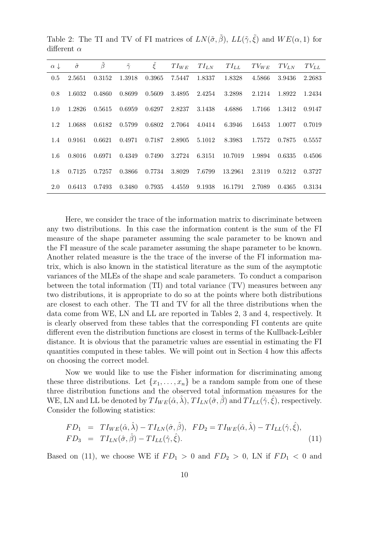| $\alpha \downarrow$ | $\tilde{\sigma}$ | $\tilde{\beta}$ | $\tilde{\gamma}$ | $\tilde{\xi}$ | $TI_{WE}$ | $TI_{LN}$ | $TI_{LL}$ | $TV_{WE}$ | $TV_{LN}$ | $TV_{LL}$ |
|---------------------|------------------|-----------------|------------------|---------------|-----------|-----------|-----------|-----------|-----------|-----------|
| 0.5                 | 2.5651           | 0.3152          | 1.3918           | 0.3965        | 7.5447    | 1.8337    | 1.8328    | 4.5866    | 3.9436    | 2.2683    |
| 0.8                 | 1.6032           | 0.4860          | 0.8699           | 0.5609        | 3.4895    | 2.4254    | 3.2898    | 2.1214    | 1.8922    | 1.2434    |
| 1.0                 | 1.2826           | 0.5615          | 0.6959           | 0.6297        | 2.8237    | 3.1438    | 4.6886    | 1.7166    | 1.3412    | 0.9147    |
| 1.2                 | 1.0688           | 0.6182          | 0.5799           | 0.6802        | 2.7064    | 4.0414    | 6.3946    | 1.6453    | 1.0077    | 0.7019    |
| 1.4                 | 0.9161           | 0.6621          | 0.4971           | 0.7187        | 2.8905    | 5.1012    | 8.3983    | 1.7572    | 0.7875    | 0.5557    |
| 1.6                 | 0.8016           | 0.6971          | 0.4349           | 0.7490        | 3.2724    | 6.3151    | 10.7019   | 1.9894    | 0.6335    | 0.4506    |
| 1.8                 | 0.7125           | 0.7257          | 0.3866           | 0.7734        | 3.8029    | 7.6799    | 13.2961   | 2.3119    | 0.5212    | 0.3727    |
| 2.0                 | 0.6413           | 0.7493          | 0.3480           | 0.7935        | 4.4559    | 9.1938    | 16.1791   | 2.7089    | 0.4365    | 0.3134    |
|                     |                  |                 |                  |               |           |           |           |           |           |           |

Table 2: The TI and TV of FI matrices of  $LN(\tilde{\sigma}, \tilde{\beta})$ ,  $LL(\tilde{\gamma}, \tilde{\xi})$  and  $WE(\alpha, 1)$  for different  $\alpha$ 

Here, we consider the trace of the information matrix to discriminate between any two distributions. In this case the information content is the sum of the FI measure of the shape parameter assuming the scale parameter to be known and the FI measure of the scale parameter assuming the shape parameter to be known. Another related measure is the the trace of the inverse of the FI information matrix, which is also known in the statistical literature as the sum of the asymptotic variances of the MLEs of the shape and scale parameters. To conduct a comparison between the total information (TI) and total variance (TV) measures between any two distributions, it is appropriate to do so at the points where both distributions are closest to each other. The TI and TV for all the three distributions when the data come from WE, LN and LL are reported in Tables 2, 3 and 4, respectively. It is clearly observed from these tables that the corresponding FI contents are quite different even the distribution functions are closest in terms of the Kullback-Leibler distance. It is obvious that the parametric values are essential in estimating the FI quantities computed in these tables. We will point out in Section 4 how this affects on choosing the correct model.

Now we would like to use the Fisher information for discriminating among these three distributions. Let  $\{x_1, \ldots, x_n\}$  be a random sample from one of these three distribution functions and the observed total information measures for the WE, LN and LL be denoted by  $TI_{WE}(\hat{\alpha}, \hat{\lambda}), TI_{LN}(\hat{\sigma}, \hat{\beta})$  and  $TI_{LL}(\hat{\gamma}, \hat{\xi}),$  respectively. Consider the following statistics:

$$
FD_1 = TI_{WE}(\hat{\alpha}, \hat{\lambda}) - TI_{LN}(\hat{\sigma}, \hat{\beta}), \quad FD_2 = TI_{WE}(\hat{\alpha}, \hat{\lambda}) - TI_{LL}(\hat{\gamma}, \hat{\xi}),
$$
  
\n
$$
FD_3 = TI_{LN}(\hat{\sigma}, \hat{\beta}) - TI_{LL}(\hat{\gamma}, \hat{\xi}).
$$
\n(11)

Based on (11), we choose WE if  $FD_1 > 0$  and  $FD_2 > 0$ , LN if  $FD_1 < 0$  and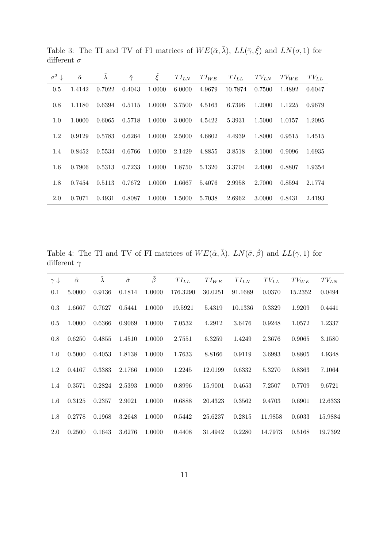| $\sigma^2 \downarrow$ | $\tilde{\alpha}$ | $\tilde{\lambda}$ | $\tilde{\gamma}$ | $\tilde{\xi}$ | $TI_{LN}$ | $TI_{WE}$ | $TI_{LL}$ | $TV_{LN}$ | $TV_{WE}$ | $TV_{LL}$ |
|-----------------------|------------------|-------------------|------------------|---------------|-----------|-----------|-----------|-----------|-----------|-----------|
| 0.5                   | 1.4142           | 0.7022            | 0.4043           | 1.0000        | 6.0000    | 4.9679    | 10.7874   | 0.7500    | 1.4892    | 0.6047    |
| 0.8                   | 1.1180           | 0.6394            | 0.5115           | 1.0000        | 3.7500    | 4.5163    | 6.7396    | 1.2000    | 1.1225    | 0.9679    |
| 1.0                   | 1.0000           | 0.6065            | 0.5718           | 1.0000        | 3.0000    | 4.5422    | 5.3931    | 1.5000    | 1.0157    | 1.2095    |
| 1.2                   | 0.9129           | 0.5783            | 0.6264           | 1.0000        | 2.5000    | 4.6802    | 4.4939    | 1.8000    | 0.9515    | 1.4515    |
| 1.4                   | 0.8452           | 0.5534            | 0.6766           | 1.0000        | 2.1429    | 4.8855    | 3.8518    | 2.1000    | 0.9096    | 1.6935    |
| $1.6\,$               | 0.7906           | 0.5313            | 0.7233           | 1.0000        | 1.8750    | 5.1320    | 3.3704    | 2.4000    | 0.8807    | 1.9354    |
| 1.8                   | 0.7454           | 0.5113            | 0.7672           | 1.0000        | 1.6667    | 5.4076    | 2.9958    | 2.7000    | 0.8594    | 2.1774    |
| 2.0                   | 0.7071           | 0.4931            | 0.8087           | 1.0000        | 1.5000    | 5.7038    | 2.6962    | 3.0000    | 0.8431    | 2.4193    |

Table 3: The TI and TV of FI matrices of  $WE(\tilde{\alpha}, \tilde{\lambda}), LL(\tilde{\gamma}, \tilde{\xi})$  and  $LN(\sigma, 1)$  for different $\sigma$ 

Table 4: The TI and TV of FI matrices of  $WE(\tilde{\alpha}, \tilde{\lambda}), \ LN(\tilde{\sigma}, \tilde{\beta})$  and  $LL(\gamma, 1)$  for different $\gamma$ 

| $\gamma \downarrow$ | $\tilde{\alpha}$ | $\tilde{\lambda}$ | $\tilde{\sigma}$ | $\tilde{\beta}$ | $TI_{LL}$ | $TI_{WE}$ | $TI_{LN}$ | $TV_{LL}$ | $TV_{WE}$ | $TV_{LN}$ |
|---------------------|------------------|-------------------|------------------|-----------------|-----------|-----------|-----------|-----------|-----------|-----------|
| 0.1                 | 5.0000           | 0.9136            | 0.1814           | 1.0000          | 176.3290  | 30.0251   | 91.1689   | 0.0370    | 15.2352   | 0.0494    |
| 0.3                 | 1.6667           | 0.7627            | 0.5441           | 1.0000          | 19.5921   | 5.4319    | 10.1336   | 0.3329    | 1.9209    | 0.4441    |
| 0.5                 | 1.0000           | 0.6366            | 0.9069           | 1.0000          | 7.0532    | 4.2912    | 3.6476    | 0.9248    | 1.0572    | 1.2337    |
| 0.8                 | 0.6250           | 0.4855            | 1.4510           | 1.0000          | 2.7551    | 6.3259    | 1.4249    | 2.3676    | 0.9065    | 3.1580    |
| 1.0                 | 0.5000           | 0.4053            | 1.8138           | 1.0000          | 1.7633    | 8.8166    | 0.9119    | 3.6993    | 0.8805    | 4.9348    |
| 1.2                 | 0.4167           | 0.3383            | 2.1766           | 1.0000          | 1.2245    | 12.0199   | 0.6332    | 5.3270    | 0.8363    | 7.1064    |
| 1.4                 | 0.3571           | 0.2824            | 2.5393           | 1.0000          | 0.8996    | 15.9001   | 0.4653    | 7.2507    | 0.7709    | 9.6721    |
| $1.6\,$             | 0.3125           | 0.2357            | 2.9021           | 1.0000          | 0.6888    | 20.4323   | 0.3562    | 9.4703    | 0.6901    | 12.6333   |
| 1.8                 | 0.2778           | 0.1968            | 3.2648           | 1.0000          | 0.5442    | 25.6237   | 0.2815    | 11.9858   | 0.6033    | 15.9884   |
| 2.0                 | 0.2500           | 0.1643            | 3.6276           | 1.0000          | 0.4408    | 31.4942   | 0.2280    | 14.7973   | 0.5168    | 19.7392   |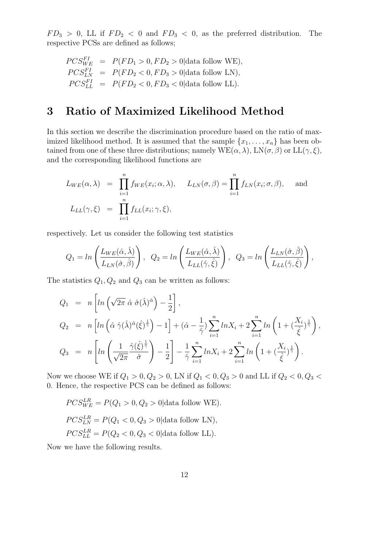$FD_3 > 0$ , LL if  $FD_2 < 0$  and  $FD_3 < 0$ , as the preferred distribution. The respective PCSs are defined as follows;

$$
PCS_{WE}^{FI} = P(FD_1 > 0, FD_2 > 0 | \text{data follow WE}),
$$
  
\n
$$
PCS_{LN}^{FI} = P(FD_2 < 0, FD_3 > 0 | \text{data follow LN}),
$$
  
\n
$$
PCS_{LL}^{FI} = P(FD_2 < 0, FD_3 < 0 | \text{data follow LL}).
$$

## 3 Ratio of Maximized Likelihood Method

In this section we describe the discrimination procedure based on the ratio of maximized likelihood method. It is assumed that the sample  $\{x_1, \ldots, x_n\}$  has been obtained from one of these three distributions; namely  $WE(\alpha, \lambda)$ ,  $LN(\sigma, \beta)$  or  $LL(\gamma, \xi)$ , and the corresponding likelihood functions are

$$
L_{WE}(\alpha, \lambda) = \prod_{i=1}^{n} f_{WE}(x_i; \alpha, \lambda), \quad L_{LN}(\sigma, \beta) = \prod_{i=1}^{n} f_{LN}(x_i; \sigma, \beta), \quad \text{and}
$$

$$
L_{LL}(\gamma, \xi) = \prod_{i=1}^{n} f_{LL}(x_i; \gamma, \xi),
$$

respectively. Let us consider the following test statistics

$$
Q_1 = \ln\left(\frac{L_{WE}(\hat{\alpha}, \hat{\lambda})}{L_{LN}(\hat{\sigma}, \hat{\beta})}\right), \quad Q_2 = \ln\left(\frac{L_{WE}(\hat{\alpha}, \hat{\lambda})}{L_{LL}(\hat{\gamma}, \hat{\xi})}\right), \quad Q_3 = \ln\left(\frac{L_{LN}(\hat{\sigma}, \hat{\beta})}{L_{LL}(\hat{\gamma}, \hat{\xi})}\right),
$$

The statistics  $Q_1, Q_2$  and  $Q_3$  can be written as follows:

$$
Q_1 = n \left[ ln \left( \sqrt{2\pi} \hat{\alpha} \hat{\sigma} (\hat{\lambda})^{\hat{\alpha}} \right) - \frac{1}{2} \right],
$$
  
\n
$$
Q_2 = n \left[ ln \left( \hat{\alpha} \hat{\gamma} (\hat{\lambda})^{\hat{\alpha}} (\hat{\xi})^{\frac{1}{\hat{\gamma}}} \right) - 1 \right] + (\hat{\alpha} - \frac{1}{\hat{\gamma}}) \sum_{i=1}^n ln X_i + 2 \sum_{i=1}^n ln \left( 1 + (\frac{X_i}{\hat{\xi}})^{\frac{1}{\hat{\gamma}}} \right),
$$
  
\n
$$
Q_3 = n \left[ ln \left( \frac{1}{\sqrt{2\pi}} \frac{\hat{\gamma} (\hat{\xi})^{\frac{1}{\hat{\gamma}}}}{\hat{\sigma}} \right) - \frac{1}{2} \right] - \frac{1}{\hat{\gamma}} \sum_{i=1}^n ln X_i + 2 \sum_{i=1}^n ln \left( 1 + (\frac{X_i}{\hat{\xi}})^{\frac{1}{\hat{\gamma}}} \right).
$$

Now we choose WE if  $Q_1 > 0, Q_2 > 0$ , LN if  $Q_1 < 0, Q_3 > 0$  and LL if  $Q_2 < 0, Q_3 <$ 0. Hence, the respective PCS can be defined as follows:

$$
PCS_{WE}^{LR} = P(Q_1 > 0, Q_2 > 0 | \text{data follow WE}).
$$
  

$$
PCS_{LN}^{LR} = P(Q_1 < 0, Q_3 > 0 | \text{data follow LN}),
$$
  

$$
PCS_{LL}^{LR} = P(Q_2 < 0, Q_3 < 0 | \text{data follow LL}).
$$

Now we have the following results.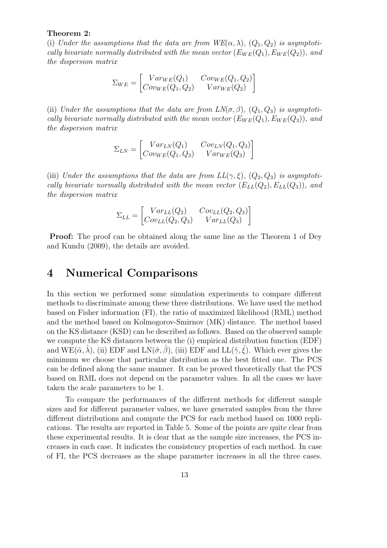#### Theorem 2:

(i) *Under the assumptions that the data are from*  $WE(\alpha, \lambda)$ *,*  $(Q_1, Q_2)$  *is asymptotically bivariate normally distributed with the mean vector*  $(E_{WE}(Q_1), E_{WE}(Q_2))$ *, and the dispersion matrix*

$$
\Sigma_{WE} = \begin{bmatrix} Var_{WE}(Q_1) & Cov_{WE}(Q_1, Q_2) \\ Cov_{WE}(Q_1, Q_2) & Var_{WE}(Q_2) \end{bmatrix}
$$

(ii) *Under the assumptions that the data are from*  $LN(\sigma, \beta)$ *,*  $(Q_1, Q_3)$  *is asymptotically bivariate normally distributed with the mean vector*  $(E_{WE}(Q_1), E_{WE}(Q_3))$ *, and the dispersion matrix*

$$
\Sigma_{LN} = \begin{bmatrix} Var_{LN}(Q_1) & Cov_{LN}(Q_1, Q_3) \\ Cov_{WE}(Q_1, Q_3) & Var_{WE}(Q_3) \end{bmatrix}
$$

(iii) *Under the assumptions that the data are from*  $LL(\gamma, \xi)$ *,*  $(Q_2, Q_3)$  *is asymptotically bivariate normally distributed with the mean vector*  $(E_{LL}(Q_2), E_{LL}(Q_3))$ *, and the dispersion matrix*

$$
\Sigma_{LL} = \begin{bmatrix} Var_{LL}(Q_2) & Cov_{LL}(Q_2, Q_3) \ Cov_{LL}(Q_2, Q_3) & Var_{LL}(Q_3) \end{bmatrix}
$$

Proof: The proof can be obtained along the same line as the Theorem 1 of Dey and Kundu (2009), the details are avoided.

### 4 Numerical Comparisons

In this section we performed some simulation experiments to compare different methods to discriminate among these three distributions. We have used the method based on Fisher information (FI), the ratio of maximized likelihood (RML) method and the method based on Kolmogorov-Smirnov (MK) distance. The method based on the KS distance (KSD) can be described as follows. Based on the observed sample we compute the KS distances between the (i) empirical distribution function (EDF) and  $WE(\hat{\alpha}, \hat{\lambda})$ , (ii) EDF and  $LN(\hat{\sigma}, \hat{\beta})$ , (iii) EDF and  $LL(\hat{\gamma}, \hat{\xi})$ . Which ever gives the minimum we choose that particular distribution as the best fitted one. The PCS can be defined along the same manner. It can be proved theoretically that the PCS based on RML does not depend on the parameter values. In all the cases we have taken the scale parameters to be 1.

To compare the performances of the different methods for different sample sizes and for different parameter values, we have generated samples from the three different distributions and compute the PCS for each method based on 1000 replications. The results are reported in Table 5. Some of the points are quite clear from these experimental results. It is clear that as the sample size increases, the PCS increases in each case. It indicates the consistency properties of each method. In case of FI, the PCS decreases as the shape parameter increases in all the three cases.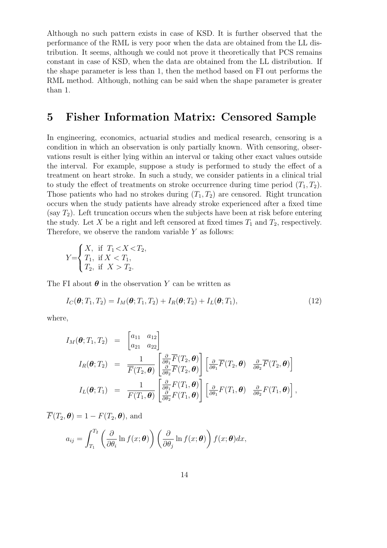Although no such pattern exists in case of KSD. It is further observed that the performance of the RML is very poor when the data are obtained from the LL distribution. It seems, although we could not prove it theoretically that PCS remains constant in case of KSD, when the data are obtained from the LL distribution. If the shape parameter is less than 1, then the method based on FI out performs the RML method. Although, nothing can be said when the shape parameter is greater than 1.

### 5 Fisher Information Matrix: Censored Sample

In engineering, economics, actuarial studies and medical research, censoring is a condition in which an observation is only partially known. With censoring, observations result is either lying within an interval or taking other exact values outside the interval. For example, suppose a study is performed to study the effect of a treatment on heart stroke. In such a study, we consider patients in a clinical trial to study the effect of treatments on stroke occurrence during time period  $(T_1, T_2)$ . Those patients who had no strokes during  $(T_1, T_2)$  are censored. Right truncation occurs when the study patients have already stroke experienced after a fixed time (say  $T_2$ ). Left truncation occurs when the subjects have been at risk before entering the study. Let X be a right and left censored at fixed times  $T_1$  and  $T_2$ , respectively. Therefore, we observe the random variable  $Y$  as follows:

$$
Y = \begin{cases} X, & \text{if } T_1 < X < T_2, \\ T_1, & \text{if } X < T_1, \\ T_2, & \text{if } X > T_2. \end{cases}
$$

The FI about  $\boldsymbol{\theta}$  in the observation Y can be written as

$$
I_C(\boldsymbol{\theta}; T_1, T_2) = I_M(\boldsymbol{\theta}; T_1, T_2) + I_R(\boldsymbol{\theta}; T_2) + I_L(\boldsymbol{\theta}; T_1),
$$
\n(12)

where,

$$
I_M(\boldsymbol{\theta};T_1,T_2) = \begin{bmatrix} a_{11} & a_{12} \\ a_{21} & a_{22} \end{bmatrix}
$$
  
\n
$$
I_R(\boldsymbol{\theta};T_2) = \frac{1}{\overline{F}(T_2,\boldsymbol{\theta})} \begin{bmatrix} \frac{\partial}{\partial \theta_1} \overline{F}(T_2,\boldsymbol{\theta}) \\ \frac{\partial}{\partial \theta_2} \overline{F}(T_2,\boldsymbol{\theta}) \end{bmatrix} \begin{bmatrix} \frac{\partial}{\partial \theta_1} \overline{F}(T_2,\boldsymbol{\theta}) & \frac{\partial}{\partial \theta_2} \overline{F}(T_2,\boldsymbol{\theta}) \end{bmatrix}
$$
  
\n
$$
I_L(\boldsymbol{\theta};T_1) = \frac{1}{F(T_1,\boldsymbol{\theta})} \begin{bmatrix} \frac{\partial}{\partial \theta_1} F(T_1,\boldsymbol{\theta}) \\ \frac{\partial}{\partial \theta_2} F(T_1,\boldsymbol{\theta}) \end{bmatrix} \begin{bmatrix} \frac{\partial}{\partial \theta_1} F(T_1,\boldsymbol{\theta}) & \frac{\partial}{\partial \theta_2} F(T_1,\boldsymbol{\theta}) \end{bmatrix},
$$

 $\overline{F}(T_2, \theta) = 1 - F(T_2, \theta)$ , and

$$
a_{ij} = \int_{T_1}^{T_2} \left( \frac{\partial}{\partial \theta_i} \ln f(x; \boldsymbol{\theta}) \right) \left( \frac{\partial}{\partial \theta_j} \ln f(x; \boldsymbol{\theta}) \right) f(x; \boldsymbol{\theta}) dx,
$$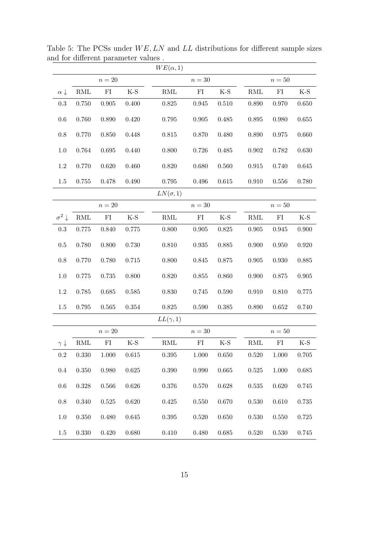|                       |                    |             |           | $WE(\alpha, 1)$    |             |       |                    |            |           |
|-----------------------|--------------------|-------------|-----------|--------------------|-------------|-------|--------------------|------------|-----------|
|                       | $n=20\,$           |             |           |                    | $n=30$      |       |                    | $n=50$     |           |
| $\alpha \downarrow$   | $\mathop{\rm RML}$ | ${\rm FI}$  | $K-S$     | $\mathop{\rm RML}$ | FI          | $K-S$ | $\mathrm{RML}$     | ${\rm FI}$ | $K-S$     |
| 0.3                   | 0.750              | $\,0.905\,$ | 0.400     | 0.825              | 0.945       | 0.510 | 0.890              | 0.970      | 0.650     |
| 0.6                   | 0.760              | 0.890       | $0.420\,$ | 0.795              | $\,0.905\,$ | 0.485 | 0.895              | 0.980      | 0.655     |
| $0.8\,$               | 0.770              | 0.850       | $0.448\,$ | $0.815\,$          | 0.870       | 0.480 | 0.890              | 0.975      | 0.660     |
| $1.0\,$               | 0.764              | 0.695       | 0.440     | 0.800              | 0.726       | 0.485 | $\,0.902\,$        | 0.782      | 0.630     |
| 1.2                   | 0.770              | 0.620       | 0.460     | 0.820              | 0.680       | 0.560 | $\,0.915\,$        | 0.740      | 0.645     |
| 1.5                   | $0.755\,$          | 0.478       | 0.490     | $0.795\,$          | $0.496\,$   | 0.615 | 0.910              | $0.556\,$  | 0.780     |
|                       |                    |             |           | $LN(\sigma, 1)$    |             |       |                    |            |           |
|                       |                    | $n=20$      |           |                    | $n=30$      |       |                    | $n=50$     |           |
| $\sigma^2 \downarrow$ | $\mathop{\rm RML}$ | FI          | $K-S$     | $\mathop{\rm RML}$ | ${\rm FI}$  | $K-S$ | $\mathop{\rm RML}$ | FI         | K-S       |
| $\rm 0.3$             | 0.775              | 0.840       | 0.775     | 0.800              | 0.905       | 0.825 | 0.905              | 0.945      | 0.900     |
| $0.5\,$               | $0.780\,$          | 0.800       | 0.730     | 0.810              | $\,0.935\,$ | 0.885 | 0.900              | 0.950      | 0.920     |
| $0.8\,$               | 0.770              | 0.780       | 0.715     | 0.800              | 0.845       | 0.875 | $\,0.905\,$        | 0.930      | 0.885     |
| 1.0                   | $0.775\,$          | 0.735       | 0.800     | 0.820              | 0.855       | 0.860 | 0.900              | 0.875      | 0.905     |
| 1.2                   | 0.785              | 0.685       | 0.585     | 0.830              | 0.745       | 0.590 | 0.910              | 0.810      | 0.775     |
| 1.5                   | $0.795\,$          | 0.565       | $0.354\,$ | 0.825              | $0.590\,$   | 0.385 | 0.890              | 0.652      | 0.740     |
|                       |                    |             |           | $LL(\gamma,1)$     |             |       |                    |            |           |
|                       |                    | $n=20$      |           |                    | $n=30$      |       |                    | $n=50$     |           |
| $\gamma \downarrow$   | $\mathop{\rm RML}$ | ${\rm FI}$  | $K-S$     | $\mathop{\rm RML}$ | ${\rm FI}$  | $K-S$ | $\mathop{\rm RML}$ | ${\rm FI}$ | $K-S$     |
| 0.2                   | $0.330\,$          | 1.000       | 0.615     | $0.395\,$          | 1.000       | 0.650 | $0.520\,$          | 1.000      | 0.705     |
| $0.4\,$               | 0.350              | 0.980       | 0.625     | $0.390\,$          | 0.990       | 0.665 | 0.525              | 1.000      | 0.685     |
| 0.6                   | 0.328              | 0.566       | 0.626     | $0.376\,$          | 0.570       | 0.628 | 0.535              | 0.620      | 0.745     |
| $0.8\,$               | 0.340              | 0.525       | 0.620     | 0.425              | 0.550       | 0.670 | 0.530              | 0.610      | 0.735     |
| $1.0\,$               | 0.350              | 0.480       | 0.645     | $0.395\,$          | 0.520       | 0.650 | 0.530              | 0.550      | 0.725     |
| $1.5\,$               | $0.330\,$          | $0.420\,$   | 0.680     | $0.410\,$          | $0.480\,$   | 0.685 | $0.520\,$          | 0.530      | $0.745\,$ |

Table 5: The PCSs under  $WE, LN$  and  $LL$  distributions for different sample sizes and for different parameter values .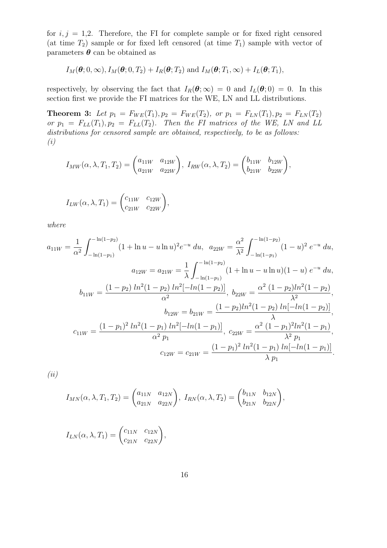for  $i, j = 1, 2$ . Therefore, the FI for complete sample or for fixed right censored (at time  $T_2$ ) sample or for fixed left censored (at time  $T_1$ ) sample with vector of parameters  $\pmb{\theta}$  can be obtained as

$$
I_M(\boldsymbol{\theta};0,\infty), I_M(\boldsymbol{\theta};0,T_2) + I_R(\boldsymbol{\theta};T_2)
$$
 and  $I_M(\boldsymbol{\theta};T_1,\infty) + I_L(\boldsymbol{\theta};T_1)$ ,

respectively, by observing the fact that  $I_R(\theta; \infty) = 0$  and  $I_L(\theta; 0) = 0$ . In this section first we provide the FI matrices for the WE, LN and LL distributions.

**Theorem 3:** Let  $p_1 = F_{WE}(T_1), p_2 = F_{WE}(T_2)$ , or  $p_1 = F_{LN}(T_1), p_2 = F_{LN}(T_2)$ *or*  $p_1 = F_{LL}(T_1), p_2 = F_{LL}(T_2)$ *. Then the FI matrices of the WE, LN and LL distributions for censored sample are obtained, respectively, to be as follows: (i)*

$$
I_{MW}(\alpha, \lambda, T_1, T_2) = \begin{pmatrix} a_{11W} & a_{12W} \\ a_{21W} & a_{22W} \end{pmatrix}, \ I_{RW}(\alpha, \lambda, T_2) = \begin{pmatrix} b_{11W} & b_{12W} \\ b_{21W} & b_{22W} \end{pmatrix},
$$

$$
I_{LW}(\alpha, \lambda, T_1) = \begin{pmatrix} c_{11W} & c_{12W} \\ c_{21W} & c_{22W} \end{pmatrix},
$$

*where*

$$
a_{11W} = \frac{1}{\alpha^2} \int_{-\ln(1-p_1)}^{-\ln(1-p_2)} (1 + \ln u - u \ln u)^2 e^{-u} du, \quad a_{22W} = \frac{\alpha^2}{\lambda^2} \int_{-\ln(1-p_1)}^{-\ln(1-p_2)} (1 - u)^2 e^{-u} du,
$$
  
\n
$$
a_{12W} = a_{21W} = \frac{1}{\lambda} \int_{-\ln(1-p_1)}^{-\ln(1-p_2)} (1 + \ln u - u \ln u)(1 - u) e^{-u} du,
$$
  
\n
$$
b_{11W} = \frac{(1-p_2) \ln^2(1-p_2) \ln^2[-\ln(1-p_2)]}{\alpha^2}, \quad b_{22W} = \frac{\alpha^2 (1-p_2) \ln^2(1-p_2)}{\lambda^2},
$$
  
\n
$$
b_{12W} = b_{21W} = \frac{(1-p_2) \ln^2(1-p_2) \ln[-\ln(1-p_2)]}{\lambda},
$$
  
\n
$$
c_{11W} = \frac{(1-p_1)^2 \ln^2(1-p_1) \ln^2[-\ln(1-p_1)]}{\alpha^2 p_1}, \quad c_{22W} = \frac{\alpha^2 (1-p_1)^2 \ln^2(1-p_1)}{\lambda^2 p_1},
$$
  
\n
$$
c_{12W} = c_{21W} = \frac{(1-p_1)^2 \ln^2(1-p_1) \ln[-\ln(1-p_1)]}{\lambda p_1}.
$$

*(ii)*

$$
I_{MN}(\alpha, \lambda, T_1, T_2) = \begin{pmatrix} a_{11N} & a_{12N} \\ a_{21N} & a_{22N} \end{pmatrix}, I_{RN}(\alpha, \lambda, T_2) = \begin{pmatrix} b_{11N} & b_{12N} \\ b_{21N} & b_{22N} \end{pmatrix},
$$

$$
I_{LN}(\alpha, \lambda, T_1) = \begin{pmatrix} c_{11N} & c_{12N} \\ c_{21N} & c_{22N} \end{pmatrix},
$$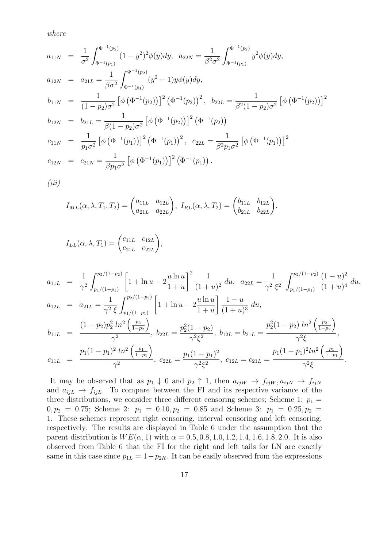*where*

$$
a_{11N} = \frac{1}{\sigma^2} \int_{\Phi^{-1}(p_1)}^{\Phi^{-1}(p_2)} (1 - y^2)^2 \phi(y) dy, \quad a_{22N} = \frac{1}{\beta^2 \sigma^2} \int_{\Phi^{-1}(p_1)}^{\Phi^{-1}(p_2)} y^2 \phi(y) dy,
$$
  
\n
$$
a_{12N} = a_{21L} = \frac{1}{\beta \sigma^2} \int_{\Phi^{-1}(p_1)}^{\Phi^{-1}(p_2)} (y^2 - 1) y \phi(y) dy,
$$
  
\n
$$
b_{11N} = \frac{1}{(1 - p_2) \sigma^2} \left[ \phi \left( \Phi^{-1}(p_2) \right) \right]^2 \left( \Phi^{-1}(p_2) \right)^2, \quad b_{22L} = \frac{1}{\beta^2 (1 - p_2) \sigma^2} \left[ \phi \left( \Phi^{-1}(p_2) \right) \right]^2
$$
  
\n
$$
b_{12N} = b_{21L} = \frac{1}{\beta (1 - p_2) \sigma^2} \left[ \phi \left( \Phi^{-1}(p_2) \right) \right]^2 \left( \Phi^{-1}(p_2) \right)
$$
  
\n
$$
c_{11N} = \frac{1}{p_1 \sigma^2} \left[ \phi \left( \Phi^{-1}(p_1) \right) \right]^2 \left( \Phi^{-1}(p_1) \right)^2, \quad c_{22L} = \frac{1}{\beta^2 p_1 \sigma^2} \left[ \phi \left( \Phi^{-1}(p_1) \right) \right]^2
$$
  
\n
$$
c_{12N} = c_{21N} = \frac{1}{\beta p_1 \sigma^2} \left[ \phi \left( \Phi^{-1}(p_1) \right) \right]^2 \left( \Phi^{-1}(p_1) \right).
$$

*(iii)*

$$
I_{ML}(\alpha, \lambda, T_1, T_2) = \begin{pmatrix} a_{11L} & a_{12L} \\ a_{21L} & a_{22L} \end{pmatrix}, I_{RL}(\alpha, \lambda, T_2) = \begin{pmatrix} b_{11L} & b_{12L} \\ b_{21L} & b_{22L} \end{pmatrix},
$$

$$
I_{LL}(\alpha, \lambda, T_1) = \begin{pmatrix} c_{11L} & c_{12L} \\ c_{21L} & c_{22L} \end{pmatrix},
$$

$$
a_{11L} = \frac{1}{\gamma^2} \int_{p_1/(1-p_1)}^{p_2/(1-p_2)} \left[ 1 + \ln u - 2 \frac{u \ln u}{1+u} \right]^2 \frac{1}{(1+u)^2} du, \quad a_{22L} = \frac{1}{\gamma^2 \xi^2} \int_{p_1/(1-p_1)}^{p_2/(1-p_2)} \frac{(1-u)^2}{(1+u)^4} du,
$$
  
\n
$$
a_{12L} = a_{21L} = \frac{1}{\gamma^2 \xi} \int_{p_1/(1-p_1)}^{p_2/(1-p_2)} \left[ 1 + \ln u - 2 \frac{u \ln u}{1+u} \right] \frac{1-u}{(1+u)^3} du,
$$

$$
b_{11L} = \frac{(1-p_2)p_2^2 \ln^2\left(\frac{p_2}{1-p_2}\right)}{\gamma^2}, \ b_{22L} = \frac{p_2^2(1-p_2)}{\gamma^2 \xi^2}, \ b_{12L} = b_{21L} = \frac{p_2^2(1-p_2) \ln^2\left(\frac{p_2}{1-p_2}\right)}{\gamma^2 \xi},
$$
  
\n
$$
c_{11L} = \frac{p_1(1-p_1)^2 \ln^2\left(\frac{p_1}{1-p_1}\right)}{\gamma^2}, \ c_{22L} = \frac{p_1(1-p_1)^2}{\gamma^2 \xi^2}, \ c_{12L} = c_{21L} = \frac{p_1(1-p_1)^2 \ln^2\left(\frac{p_1}{1-p_1}\right)}{\gamma^2 \xi}.
$$

It may be observed that as  $p_1 \downarrow 0$  and  $p_2 \uparrow 1$ , then  $a_{ijW} \rightarrow f_{ijW}, a_{ijW} \rightarrow f_{ijW}$ and  $a_{ijL} \rightarrow f_{ijL}$ . To compare between the FI and its respective variance of the three distributions, we consider three different censoring schemes; Scheme 1:  $p_1 =$  $0, p_2 = 0.75$ ; Scheme 2:  $p_1 = 0.10, p_2 = 0.85$  and Scheme 3:  $p_1 = 0.25, p_2 = 0.25$ 1. These schemes represent right censoring, interval censoring and left censoring, respectively. The results are displayed in Table 6 under the assumption that the parent distribution is  $WE(\alpha, 1)$  with  $\alpha = 0.5, 0.8, 1.0, 1.2, 1.4, 1.6, 1.8, 2.0$ . It is also observed from Table 6 that the FI for the right and left tails for LN are exactly same in this case since  $p_{1L} = 1-p_{2R}$ . It can be easily observed from the expressions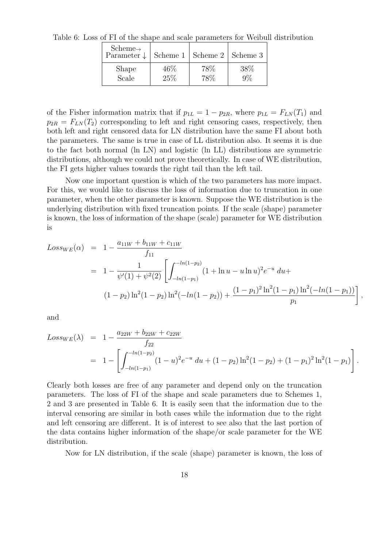| $Scheme\rightarrow$<br>Parameter $\downarrow$ |        | Scheme 1   Scheme 2   Scheme 3 |      |
|-----------------------------------------------|--------|--------------------------------|------|
| Shape                                         | $46\%$ | 78%                            | 38\% |
| Scale                                         | 25%    | 78%                            |      |

Table 6: Loss of FI of the shape and scale parameters for Weibull distribution

of the Fisher information matrix that if  $p_{1L} = 1 - p_{2R}$ , where  $p_{1L} = F_{LN}(T_1)$  and  $p_{2R} = F_{LN}(T_2)$  corresponding to left and right censoring cases, respectively, then both left and right censored data for LN distribution have the same FI about both the parameters. The same is true in case of LL distribution also. It seems it is due to the fact both normal (ln LN) and logistic (ln LL) distributions are symmetric distributions, although we could not prove theoretically. In case of WE distribution, the FI gets higher values towards the right tail than the left tail.

Now one important question is which of the two parameters has more impact. For this, we would like to discuss the loss of information due to truncation in one parameter, when the other parameter is known. Suppose the WE distribution is the underlying distribution with fixed truncation points. If the scale (shape) parameter is known, the loss of information of the shape (scale) parameter for WE distribution is

$$
Loss_{WE}(\alpha) = 1 - \frac{a_{11W} + b_{11W} + c_{11W}}{f_{11}}
$$
  
= 
$$
1 - \frac{1}{\psi'(1) + \psi^2(2)} \left[ \int_{-ln(1-p_1)}^{-ln(1-p_2)} (1 + \ln u - u \ln u)^2 e^{-u} du +
$$
  

$$
(1-p_2) \ln^2(1-p_2) \ln^2(-ln(1-p_2)) + \frac{(1-p_1)^2 \ln^2(1-p_1) \ln^2(-ln(1-p_1))}{p_1} \right]
$$

,

and

$$
Loss_{WE}(\lambda) = 1 - \frac{a_{22W} + b_{22W} + c_{22W}}{f_{22}}
$$
  
= 
$$
1 - \left[ \int_{-ln(1-p_1)}^{-ln(1-p_2)} (1-u)^2 e^{-u} du + (1-p_2) \ln^2(1-p_2) + (1-p_1)^2 \ln^2(1-p_1) \right].
$$

Clearly both losses are free of any parameter and depend only on the truncation parameters. The loss of FI of the shape and scale parameters due to Schemes 1, 2 and 3 are presented in Table 6. It is easily seen that the information due to the interval censoring are similar in both cases while the information due to the right and left censoring are different. It is of interest to see also that the last portion of the data contains higher information of the shape/or scale parameter for the WE distribution.

Now for LN distribution, if the scale (shape) parameter is known, the loss of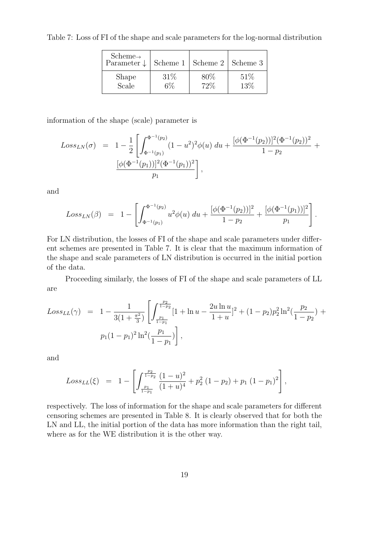Table 7: Loss of FI of the shape and scale parameters for the log-normal distribution

| $Scheme\rightarrow$<br>Parameter $\downarrow$ | Scheme 1 | Scheme 2 | Scheme 3 |
|-----------------------------------------------|----------|----------|----------|
| Shape                                         | 31%      | 80%      | 51%      |
| Scale                                         | 6%       | 72%      | 13%      |

information of the shape (scale) parameter is

$$
Loss_{LN}(\sigma) = 1 - \frac{1}{2} \left[ \int_{\Phi^{-1}(p_1)}^{\Phi^{-1}(p_2)} (1 - u^2)^2 \phi(u) \, du + \frac{[\phi(\Phi^{-1}(p_2))]^2 (\Phi^{-1}(p_2))^2}{1 - p_2} + \frac{[\phi(\Phi^{-1}(p_1))]^2 (\Phi^{-1}(p_1))^2}{p_1} \right],
$$

and

$$
Loss_{LN}(\beta) = 1 - \left[ \int_{\Phi^{-1}(p_1)}^{\Phi^{-1}(p_2)} u^2 \phi(u) \, du + \frac{[\phi(\Phi^{-1}(p_2))]^2}{1 - p_2} + \frac{[\phi(\Phi^{-1}(p_1))]^2}{p_1} \right].
$$

For LN distribution, the losses of FI of the shape and scale parameters under different schemes are presented in Table 7. It is clear that the maximum information of the shape and scale parameters of LN distribution is occurred in the initial portion of the data.

Proceeding similarly, the losses of FI of the shape and scale parameters of LL are

$$
Loss_{LL}(\gamma) = 1 - \frac{1}{3(1 + \frac{\pi^2}{3})} \left[ \int_{\frac{p_1}{1 - p_1}}^{\frac{p_2}{1 - p_2}} [1 + \ln u - \frac{2u \ln u}{1 + u}]^2 + (1 - p_2) p_2^2 \ln^2(\frac{p_2}{1 - p_2}) + p_1 (1 - p_1)^2 \ln^2(\frac{p_1}{1 - p_1}) \right],
$$

and

$$
Loss_{LL}(\xi) = 1 - \left[ \int_{\frac{p_1}{1-p_1}}^{\frac{p_2}{1-p_2}} \frac{(1-u)^2}{(1+u)^4} + p_2^2 (1-p_2) + p_1 (1-p_1)^2 \right],
$$

respectively. The loss of information for the shape and scale parameters for different censoring schemes are presented in Table 8. It is clearly observed that for both the LN and LL, the initial portion of the data has more information than the right tail, where as for the WE distribution it is the other way.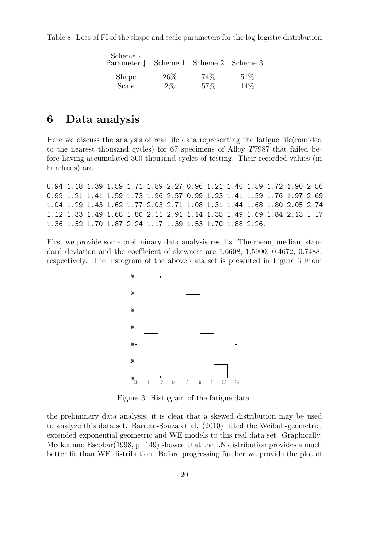Table 8: Loss of FI of the shape and scale parameters for the log-logistic distribution

| $Scheme\rightarrow$<br>Parameter $\downarrow$ |       | Scheme $1 \mid$ Scheme $2 \mid$ Scheme 3 |     |
|-----------------------------------------------|-------|------------------------------------------|-----|
| Shape                                         | 26%   | 74%                                      | 51% |
| Scale                                         | $2\%$ | 57%                                      | 14% |

## 6 Data analysis

Here we discuss the analysis of real life data representing the fatigue life(rounded to the nearest thousand cycles) for 67 specimens of Alloy T7987 that failed before having accumulated 300 thousand cycles of testing. Their recorded values (in hundreds) are

0.94 1.18 1.39 1.59 1.71 1.89 2.27 0.96 1.21 1.40 1.59 1.72 1.90 2.56 0.99 1.21 1.41 1.59 1.73 1.96 2.57 0.99 1.23 1.41 1.59 1.76 1.97 2.69 1.04 1.29 1.43 1.62 1.77 2.03 2.71 1.08 1.31 1.44 1.68 1.80 2.05 2.74 1.12 1.33 1.49 1.68 1.80 2.11 2.91 1.14 1.35 1.49 1.69 1.84 2.13 1.17 1.36 1.52 1.70 1.87 2.24 1.17 1.39 1.53 1.70 1.88 2.26.

First we provide some preliminary data analysis results. The mean, median, standard deviation and the coefficient of skewness are 1.6608, 1.5900, 0.4672, 0.7488, respectively. The histogram of the above data set is presented in Figure 3 From



Figure 3: Histogram of the fatigue data.

the preliminary data analysis, it is clear that a skewed distribution may be used to analyze this data set. Barreto-Souza et al. (2010) fitted the Weibull-geometric, extended exponential geometric and WE models to this real data set. Graphically, Meeker and Escobar(1998, p. 149) showed that the LN distribution provides a much better fit than WE distribution. Before progressing further we provide the plot of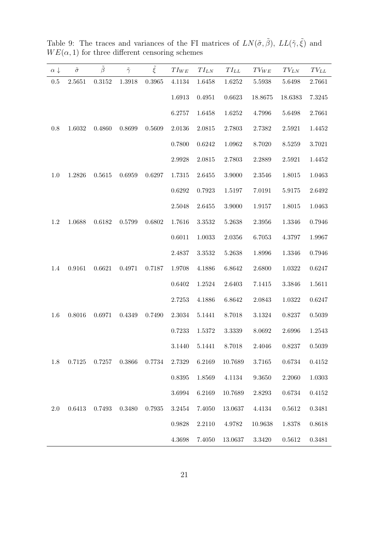| $\alpha \downarrow$ | $\tilde{\sigma}$ | $\tilde{\beta}$ | $\tilde{\gamma}$ | $\tilde{\xi}$ | $TI_{WE}$  | $TI_{LN}$ | $TI_{LL}$  | $TV_{WE}$ | $TV_{LN}$  | $TV_{LL}$ |
|---------------------|------------------|-----------------|------------------|---------------|------------|-----------|------------|-----------|------------|-----------|
| $0.5\,$             | 2.5651           | $0.3152\,$      | 1.3918           | $\,0.3965\,$  | 4.1134     | 1.6458    | 1.6252     | 5.5938    | 5.6498     | 2.7661    |
|                     |                  |                 |                  |               | 1.6913     | 0.4951    | 0.6623     | 18.8675   | 18.6383    | 7.3245    |
|                     |                  |                 |                  |               | 6.2757     | 1.6458    | 1.6252     | 4.7996    | 5.6498     | 2.7661    |
| 0.8                 | 1.6032           | 0.4860          | 0.8699           | 0.5609        | $2.0136\,$ | 2.0815    | 2.7803     | 2.7382    | 2.5921     | 1.4452    |
|                     |                  |                 |                  |               | 0.7800     | 0.6242    | 1.0962     | 8.7020    | 8.5259     | 3.7021    |
|                     |                  |                 |                  |               | 2.9928     | 2.0815    | 2.7803     | 2.2889    | 2.5921     | 1.4452    |
| 1.0                 | 1.2826           | $0.5615\,$      | 0.6959           | 0.6297        | 1.7315     | 2.6455    | 3.9000     | 2.3546    | 1.8015     | 1.0463    |
|                     |                  |                 |                  |               | 0.6292     | 0.7923    | 1.5197     | 7.0191    | $5.9175\,$ | 2.6492    |
|                     |                  |                 |                  |               | 2.5048     | 2.6455    | 3.9000     | 1.9157    | 1.8015     | 1.0463    |
| 1.2                 | 1.0688           | 0.6182          | $0.5799\,$       | 0.6802        | 1.7616     | 3.3532    | 5.2638     | 2.3956    | 1.3346     | 0.7946    |
|                     |                  |                 |                  |               | 0.6011     | 1.0033    | $2.0356\,$ | 6.7053    | 4.3797     | 1.9967    |
|                     |                  |                 |                  |               | 2.4837     | 3.3532    | 5.2638     | 1.8996    | 1.3346     | 0.7946    |
| 1.4                 | 0.9161           | 0.6621          | $0.4971\,$       | 0.7187        | 1.9708     | 4.1886    | 6.8642     | 2.6800    | 1.0322     | 0.6247    |
|                     |                  |                 |                  |               | $0.6402\,$ | 1.2524    | 2.6403     | 7.1415    | 3.3846     | 1.5611    |
|                     |                  |                 |                  |               | 2.7253     | 4.1886    | 6.8642     | 2.0843    | 1.0322     | 0.6247    |
| 1.6                 | 0.8016           | 0.6971          | 0.4349           | 0.7490        | 2.3034     | 5.1441    | 8.7018     | 3.1324    | 0.8237     | 0.5039    |
|                     |                  |                 |                  |               | 0.7233     | 1.5372    | 3.3339     | 8.0692    | 2.6996     | 1.2543    |
|                     |                  |                 |                  |               | 3.1440     | 5.1441    | 8.7018     | 2.4046    | 0.8237     | 0.5039    |
| 1.8                 | 0.7125           | 0.7257          | 0.3866           | 0.7734        | 2.7329     | 6.2169    | 10.7689    | 3.7165    | 0.6734     | 0.4152    |
|                     |                  |                 |                  |               | 0.8395     | 1.8569    | 4.1134     | 9.3650    | 2.2060     | 1.0303    |
|                     |                  |                 |                  |               | 3.6994     | 6.2169    | 10.7689    | 2.8293    | 0.6734     | 0.4152    |
| 2.0                 | 0.6413           | 0.7493          | 0.3480           | 0.7935        | 3.2454     | 7.4050    | 13.0637    | 4.4134    | 0.5612     | 0.3481    |
|                     |                  |                 |                  |               | 0.9828     | 2.2110    | 4.9782     | 10.9638   | 1.8378     | 0.8618    |
|                     |                  |                 |                  |               | 4.3698     | 7.4050    | 13.0637    | 3.3420    | 0.5612     | 0.3481    |

Table 9: The traces and variances of the FI matrices of  $LN(\tilde{\sigma}, \tilde{\beta}), LL(\tilde{\gamma}, \tilde{\xi})$  and  $WE(\alpha, 1)$  for three different censoring schemes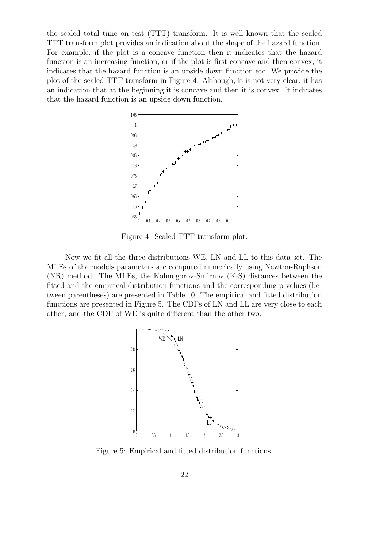the scaled total time on test (TTT) transform. It is well known that the scaled TTT transform plot provides an indication about the shape of the hazard function. For example, if the plot is a concave function then it indicates that the hazard function is an increasing function, or if the plot is first concave and then convex, it indicates that the hazard function is an upside down function etc. We provide the plot of the scaled TTT transform in Figure 4. Although, it is not very clear, it has an indication that at the beginning it is concave and then it is convex. It indicates that the hazard function is an upside down function.



Figure 4: Scaled TTT transform plot.

Now we fit all the three distributions WE, LN and LL to this data set. The MLEs of the models parameters are computed numerically using Newton-Raphson (NR) method. The MLEs, the Kolmogorov-Smirnov (K-S) distances between the fitted and the empirical distribution functions and the corresponding p-values (between parentheses) are presented in Table 10. The empirical and fitted distribution functions are presented in Figure 5. The CDFs of LN and LL are very close to each other, and the CDF of WE is quite different than the other two.



Figure 5: Empirical and fitted distribution functions.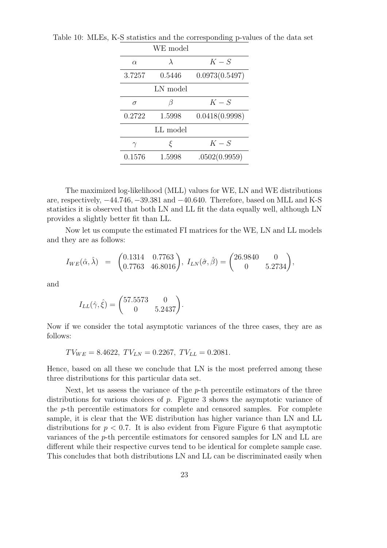|          | WE model  |                |
|----------|-----------|----------------|
| $\alpha$ | $\lambda$ | $K-S$          |
| 3.7257   | 0.5446    | 0.0973(0.5497) |
|          | LN model  |                |
| $\sigma$ |           | $K-S$          |
| 0.2722   | 1.5998    | 0.0418(0.9998) |
|          | LL model  |                |
|          | ξ         | $K-S$          |
| 0.1576   | 1.5998    | .0502(0.9959)  |

Table 10: MLEs, K-S statistics and the corresponding p-values of the data set

The maximized log-likelihood (MLL) values for WE, LN and WE distributions are, respectively, −44.746, −39.381 and −40.640. Therefore, based on MLL and K-S statistics it is observed that both LN and LL fit the data equally well, although LN provides a slightly better fit than LL.

Now let us compute the estimated FI matrices for the WE, LN and LL models and they are as follows:

$$
I_{WE}(\hat{\alpha}, \hat{\lambda}) = \begin{pmatrix} 0.1314 & 0.7763 \\ 0.7763 & 46.8016 \end{pmatrix}, I_{LN}(\hat{\sigma}, \hat{\beta}) = \begin{pmatrix} 26.9840 & 0 \\ 0 & 5.2734 \end{pmatrix},
$$

and

$$
I_{LL}(\hat{\gamma}, \hat{\xi}) = \begin{pmatrix} 57.5573 & 0 \\ 0 & 5.2437 \end{pmatrix}.
$$

Now if we consider the total asymptotic variances of the three cases, they are as follows:

$$
TV_{WE} = 8.4622, \ TV_{LN} = 0.2267, \ TV_{LL} = 0.2081.
$$

Hence, based on all these we conclude that LN is the most preferred among these three distributions for this particular data set.

Next, let us assess the variance of the  $p$ -th percentile estimators of the three distributions for various choices of p. Figure 3 shows the asymptotic variance of the p-th percentile estimators for complete and censored samples. For complete sample, it is clear that the WE distribution has higher variance than LN and LL distributions for  $p < 0.7$ . It is also evident from Figure Figure 6 that asymptotic variances of the p-th percentile estimators for censored samples for LN and LL are different while their respective curves tend to be identical for complete sample case. This concludes that both distributions LN and LL can be discriminated easily when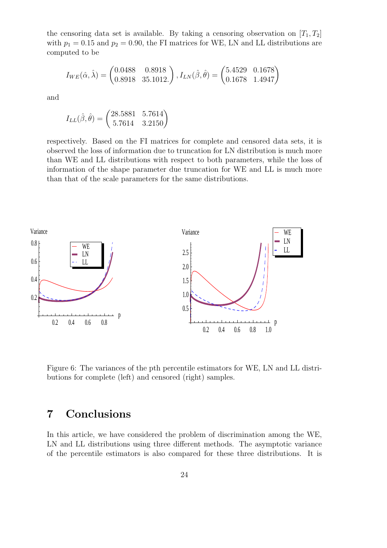the censoring data set is available. By taking a censoring observation on  $[T_1, T_2]$ with  $p_1 = 0.15$  and  $p_2 = 0.90$ , the FI matrices for WE, LN and LL distributions are computed to be

$$
I_{WE}(\hat{\alpha}, \hat{\lambda}) = \begin{pmatrix} 0.0488 & 0.8918 \\ 0.8918 & 35.1012. \end{pmatrix}, I_{LN}(\hat{\beta}, \hat{\theta}) = \begin{pmatrix} 5.4529 & 0.1678 \\ 0.1678 & 1.4947 \end{pmatrix}
$$

and

$$
I_{LL}(\hat{\beta}, \hat{\theta}) = \begin{pmatrix} 28.5881 & 5.7614 \\ 5.7614 & 3.2150 \end{pmatrix}
$$

respectively. Based on the FI matrices for complete and censored data sets, it is observed the loss of information due to truncation for LN distribution is much more than WE and LL distributions with respect to both parameters, while the loss of information of the shape parameter due truncation for WE and LL is much more than that of the scale parameters for the same distributions.



Figure 6: The variances of the pth percentile estimators for WE, LN and LL distributions for complete (left) and censored (right) samples.

# 7 Conclusions

In this article, we have considered the problem of discrimination among the WE, LN and LL distributions using three different methods. The asymptotic variance of the percentile estimators is also compared for these three distributions. It is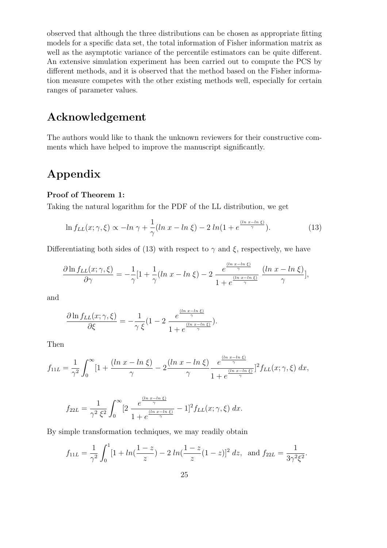observed that although the three distributions can be chosen as appropriate fitting models for a specific data set, the total information of Fisher information matrix as well as the asymptotic variance of the percentile estimators can be quite different. An extensive simulation experiment has been carried out to compute the PCS by different methods, and it is observed that the method based on the Fisher information measure competes with the other existing methods well, especially for certain ranges of parameter values.

## Acknowledgement

The authors would like to thank the unknown reviewers for their constructive comments which have helped to improve the manuscript significantly.

# Appendix

### Proof of Theorem 1:

Taking the natural logarithm for the PDF of the LL distribution, we get

$$
\ln f_{LL}(x;\gamma,\xi) \propto -\ln \gamma + \frac{1}{\gamma} (\ln x - \ln \xi) - 2\ln(1 + e^{\frac{(\ln x - \ln \xi)}{\gamma}}). \tag{13}
$$

Differentiating both sides of (13) with respect to  $\gamma$  and  $\xi$ , respectively, we have

$$
\frac{\partial \ln f_{LL}(x;\gamma,\xi)}{\partial \gamma} = -\frac{1}{\gamma} \left[1 + \frac{1}{\gamma} (\ln x - \ln \xi) - 2 \frac{e^{\frac{(\ln x - \ln \xi)}{\gamma}}}{1 + e^{\frac{(\ln x - \ln \xi)}{\gamma}}} \frac{(\ln x - \ln \xi)}{\gamma} \right],
$$

and

$$
\frac{\partial \ln f_{LL}(x;\gamma,\xi)}{\partial \xi} = -\frac{1}{\gamma \xi} (1 - 2 \frac{e^{\frac{(\ln x - \ln \xi)}{\gamma}}}{1 + e^{\frac{(\ln x - \ln \xi)}{\gamma}}} ).
$$

Then

$$
f_{11L} = \frac{1}{\gamma^2} \int_0^\infty \left[1 + \frac{(\ln x - \ln \xi)}{\gamma} - 2\frac{(\ln x - \ln \xi)}{\gamma} \frac{e^{\frac{(\ln x - \ln \xi)}{\gamma}}}{1 + e^{\frac{(\ln x - \ln \xi)}{\gamma}}}\right]^2 f_{LL}(x; \gamma, \xi) dx,
$$

$$
f_{22L} = \frac{1}{\gamma^2 \xi^2} \int_0^\infty \left[ 2 \, \frac{e^{\frac{(\ln x - \ln \xi)}{\gamma}}}{1 + e^{\frac{(\ln x - \ln \xi)}{\gamma}}} - 1 \right]^2 f_{LL}(x; \gamma, \xi) \, dx.
$$

By simple transformation techniques, we may readily obtain

$$
f_{11L} = \frac{1}{\gamma^2} \int_0^1 [1 + \ln(\frac{1-z}{z}) - 2 \ln(\frac{1-z}{z}(1-z))^2 dz, \text{ and } f_{22L} = \frac{1}{3\gamma^2 \xi^2}.
$$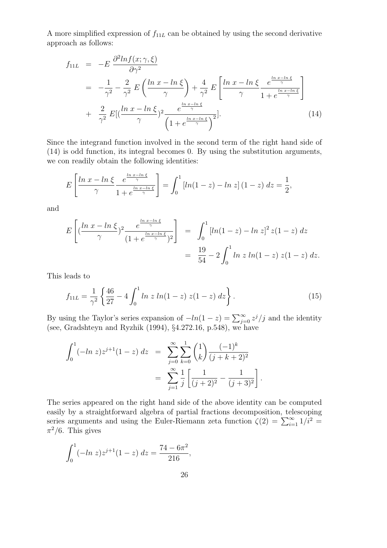A more simplified expression of  $f_{11L}$  can be obtained by using the second derivative approach as follows:

$$
f_{11L} = -E \frac{\partial^2 ln f(x; \gamma, \xi)}{\partial \gamma^2}
$$
  
=  $-\frac{1}{\gamma^2} - \frac{2}{\gamma^2} E \left( \frac{ln x - ln \xi}{\gamma} \right) + \frac{4}{\gamma^2} E \left[ \frac{ln x - ln \xi}{\gamma} \frac{e^{\frac{ln x - ln \xi}{\gamma}}}{1 + e^{\frac{ln x - ln \xi}{\gamma}}} \right]$   
+  $\frac{2}{\gamma^2} E \left[ \left( \frac{ln x - ln \xi}{\gamma} \right)^2 \frac{e^{\frac{ln x - ln \xi}{\gamma}}}{\left( 1 + e^{\frac{ln x - ln \xi}{\gamma}} \right)^2} \right].$  (14)

Since the integrand function involved in the second term of the right hand side of (14) is odd function, its integral becomes 0. By using the substitution arguments, we con readily obtain the following identities:

$$
E\left[\frac{\ln x - \ln \xi}{\gamma} \frac{e^{\frac{\ln x - \ln \xi}{\gamma}}}{1 + e^{\frac{\ln x - \ln \xi}{\gamma}}}\right] = \int_0^1 \left[\ln(1 - z) - \ln z\right](1 - z) dz = \frac{1}{2},
$$

and

$$
E\left[ \left( \frac{\ln x - \ln \xi}{\gamma} \right)^2 \frac{e^{\frac{\ln x - \ln \xi}{\gamma}}}{(1 + e^{\frac{\ln x - \ln \xi}{\gamma}})^2} \right] = \int_0^1 \left[ \ln(1 - z) - \ln z \right]^2 z (1 - z) dz
$$
  
=  $\frac{19}{54} - 2 \int_0^1 \ln z \ln(1 - z) z (1 - z) dz.$ 

This leads to

$$
f_{11L} = \frac{1}{\gamma^2} \left\{ \frac{46}{27} - 4 \int_0^1 \ln z \ln(1-z) \ z(1-z) \ dz \right\}.
$$
 (15)

.

By using the Taylor's series expansion of  $-ln(1-z) = \sum_{j=0}^{\infty} z^j/j$  and the identity (see, Gradshteyn and Ryzhik (1994), §4.272.16, p.548), we have

$$
\int_0^1 (-\ln z) z^{j+1} (1-z) dz = \sum_{j=0}^\infty \sum_{k=0}^1 {1 \choose k} \frac{(-1)^k}{(j+k+2)^2}
$$

$$
= \sum_{j=1}^\infty \frac{1}{j} \left[ \frac{1}{(j+2)^2} - \frac{1}{(j+3)^2} \right]
$$

The series appeared on the right hand side of the above identity can be computed easily by a straightforward algebra of partial fractions decomposition, telescoping series arguments and using the Euler-Riemann zeta function  $\zeta(2) = \sum_{i=1}^{\infty} 1/i^2 =$  $\pi^2/6$ . This gives

$$
\int_0^1 (-\ln z) z^{j+1} (1-z) dz = \frac{74 - 6\pi^2}{216},
$$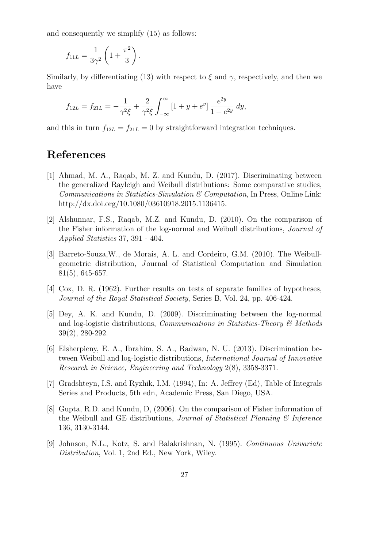and consequently we simplify (15) as follows:

$$
f_{11L} = \frac{1}{3\gamma^2} \left( 1 + \frac{\pi^2}{3} \right).
$$

Similarly, by differentiating (13) with respect to  $\xi$  and  $\gamma$ , respectively, and then we have

$$
f_{12L} = f_{21L} = -\frac{1}{\gamma^2 \xi} + \frac{2}{\gamma^2 \xi} \int_{-\infty}^{\infty} \left[1 + y + e^y\right] \frac{e^{2y}}{1 + e^{2y}} dy,
$$

and this in turn  $f_{12L} = f_{21L} = 0$  by straightforward integration techniques.

# References

- [1] Ahmad, M. A., Raqab, M. Z. and Kundu, D. (2017). Discriminating between the generalized Rayleigh and Weibull distributions: Some comparative studies, *Communications in Statistics-Simulation & Computation*, In Press, Online Link: http://dx.doi.org/10.1080/03610918.2015.1136415.
- [2] Alshunnar, F.S., Raqab, M.Z. and Kundu, D. (2010). On the comparison of the Fisher information of the log-normal and Weibull distributions, *Journal of Applied Statistics* 37, 391 - 404.
- [3] Barreto-Souza,W., de Morais, A. L. and Cordeiro, G.M. (2010). The Weibullgeometric distribution, *J* ournal of Statistical Computation and Simulation 81(5), 645-657.
- [4] Cox, D. R. (1962). Further results on tests of separate families of hypotheses, *Journal of the Royal Statistical Society*, Series B, Vol. 24, pp. 406-424.
- [5] Dey, A. K. and Kundu, D. (2009). Discriminating between the log-normal and log-logistic distributions, *Communications in Statistics-Theory & Methods* 39(2), 280-292.
- [6] Elsherpieny, E. A., Ibrahim, S. A., Radwan, N. U. (2013). Discrimination between Weibull and log-logistic distributions, *International Journal of Innovative Research in Science, Engineering and Technology* 2(8), 3358-3371.
- [7] Gradshteyn, I.S. and Ryzhik, I.M. (1994), In: A. Jeffrey (Ed), Table of Integrals Series and Products, 5th edn, Academic Press, San Diego, USA.
- [8] Gupta, R.D. and Kundu, D, (2006). On the comparison of Fisher information of the Weibull and GE distributions, *Journal of Statistical Planning & Inference* 136, 3130-3144.
- [9] Johnson, N.L., Kotz, S. and Balakrishnan, N. (1995). *Continuous Univariate Distribution*, Vol. 1, 2nd Ed., New York, Wiley.